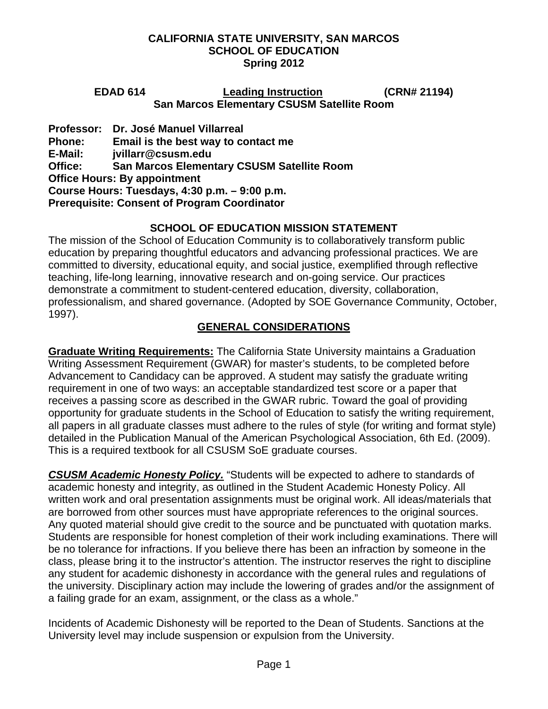**EDAD 614 Leading Instruction (CRN# 21194) San Marcos Elementary CSUSM Satellite Room** 

**Professor: Dr. José Manuel Villarreal Phone: Email is the best way to contact me E-Mail: jvillarr@csusm.edu Office: San Marcos Elementary CSUSM Satellite Room Office Hours: By appointment Course Hours: Tuesdays, 4:30 p.m. – 9:00 p.m. Prerequisite: Consent of Program Coordinator** 

# **SCHOOL OF EDUCATION MISSION STATEMENT**

The mission of the School of Education Community is to collaboratively transform public education by preparing thoughtful educators and advancing professional practices. We are committed to diversity, educational equity, and social justice, exemplified through reflective teaching, life-long learning, innovative research and on-going service. Our practices demonstrate a commitment to student-centered education, diversity, collaboration, professionalism, and shared governance. (Adopted by SOE Governance Community, October, 1997).

# **GENERAL CONSIDERATIONS**

**Graduate Writing Requirements:** The California State University maintains a Graduation Writing Assessment Requirement (GWAR) for master's students, to be completed before Advancement to Candidacy can be approved. A student may satisfy the graduate writing requirement in one of two ways: an acceptable standardized test score or a paper that receives a passing score as described in the GWAR rubric. Toward the goal of providing opportunity for graduate students in the School of Education to satisfy the writing requirement, all papers in all graduate classes must adhere to the rules of style (for writing and format style) detailed in the Publication Manual of the American Psychological Association, 6th Ed. (2009). This is a required textbook for all CSUSM SoE graduate courses.

*CSUSM Academic Honesty Policy.* "Students will be expected to adhere to standards of academic honesty and integrity, as outlined in the Student Academic Honesty Policy. All written work and oral presentation assignments must be original work. All ideas/materials that are borrowed from other sources must have appropriate references to the original sources. Any quoted material should give credit to the source and be punctuated with quotation marks. Students are responsible for honest completion of their work including examinations. There will be no tolerance for infractions. If you believe there has been an infraction by someone in the class, please bring it to the instructor's attention. The instructor reserves the right to discipline any student for academic dishonesty in accordance with the general rules and regulations of the university. Disciplinary action may include the lowering of grades and/or the assignment of a failing grade for an exam, assignment, or the class as a whole."

Incidents of Academic Dishonesty will be reported to the Dean of Students. Sanctions at the University level may include suspension or expulsion from the University.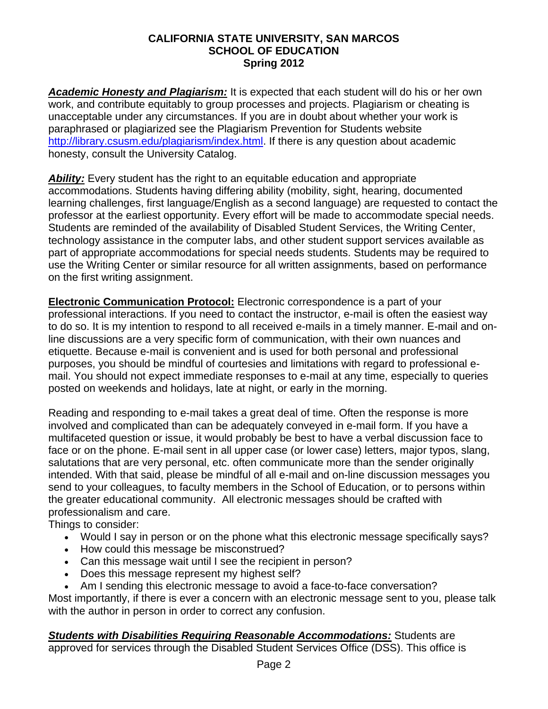*Academic Honesty and Plagiarism:* It is expected that each student will do his or her own work, and contribute equitably to group processes and projects. Plagiarism or cheating is unacceptable under any circumstances. If you are in doubt about whether your work is paraphrased or plagiarized see the Plagiarism Prevention for Students website <http://library.csusm.edu/plagiarism/index.html>. If there is any question about academic honesty, consult the University Catalog.

**Ability:** Every student has the right to an equitable education and appropriate accommodations. Students having differing ability (mobility, sight, hearing, documented learning challenges, first language/English as a second language) are requested to contact the professor at the earliest opportunity. Every effort will be made to accommodate special needs. Students are reminded of the availability of Disabled Student Services, the Writing Center, technology assistance in the computer labs, and other student support services available as part of appropriate accommodations for special needs students. Students may be required to use the Writing Center or similar resource for all written assignments, based on performance on the first writing assignment.

**Electronic Communication Protocol:** Electronic correspondence is a part of your professional interactions. If you need to contact the instructor, e-mail is often the easiest way to do so. It is my intention to respond to all received e-mails in a timely manner. E-mail and online discussions are a very specific form of communication, with their own nuances and etiquette. Because e-mail is convenient and is used for both personal and professional purposes, you should be mindful of courtesies and limitations with regard to professional email. You should not expect immediate responses to e-mail at any time, especially to queries posted on weekends and holidays, late at night, or early in the morning.

Reading and responding to e-mail takes a great deal of time. Often the response is more involved and complicated than can be adequately conveyed in e-mail form. If you have a multifaceted question or issue, it would probably be best to have a verbal discussion face to face or on the phone. E-mail sent in all upper case (or lower case) letters, major typos, slang, salutations that are very personal, etc. often communicate more than the sender originally intended. With that said, please be mindful of all e-mail and on-line discussion messages you send to your colleagues, to faculty members in the School of Education, or to persons within the greater educational community. All electronic messages should be crafted with professionalism and care.

Things to consider:

- Would I say in person or on the phone what this electronic message specifically says?
- How could this message be misconstrued?
- Can this message wait until I see the recipient in person?
- Does this message represent my highest self?
- Am I sending this electronic message to avoid a face-to-face conversation?

Most importantly, if there is ever a concern with an electronic message sent to you, please talk with the author in person in order to correct any confusion.

*Students with Disabilities Requiring Reasonable Accommodations:* Students are approved for services through the Disabled Student Services Office (DSS). This office is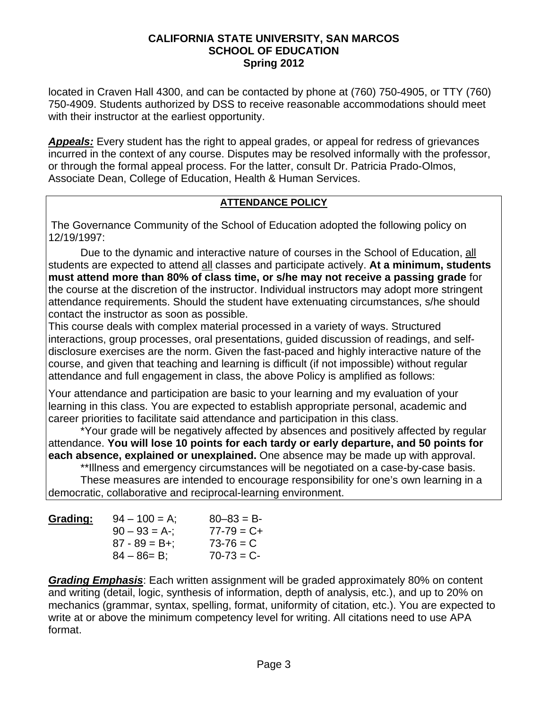located in Craven Hall 4300, and can be contacted by phone at (760) 750-4905, or TTY (760) 750-4909. Students authorized by DSS to receive reasonable accommodations should meet with their instructor at the earliest opportunity.

*Appeals:* Every student has the right to appeal grades, or appeal for redress of grievances incurred in the context of any course. Disputes may be resolved informally with the professor, or through the formal appeal process. For the latter, consult Dr. Patricia Prado-Olmos, Associate Dean, College of Education, Health & Human Services.

## **ATTENDANCE POLICY**

The Governance Community of the School of Education adopted the following policy on 12/19/1997:

 Due to the dynamic and interactive nature of courses in the School of Education, all students are expected to attend all classes and participate actively. **At a minimum, students must attend more than 80% of class time, or s/he may not receive a passing grade** for the course at the discretion of the instructor. Individual instructors may adopt more stringent attendance requirements. Should the student have extenuating circumstances, s/he should contact the instructor as soon as possible.

This course deals with complex material processed in a variety of ways. Structured interactions, group processes, oral presentations, guided discussion of readings, and selfdisclosure exercises are the norm. Given the fast-paced and highly interactive nature of the course, and given that teaching and learning is difficult (if not impossible) without regular attendance and full engagement in class, the above Policy is amplified as follows:

Your attendance and participation are basic to your learning and my evaluation of your learning in this class. You are expected to establish appropriate personal, academic and career priorities to facilitate said attendance and participation in this class.

 \*Your grade will be negatively affected by absences and positively affected by regular attendance. **You will lose 10 points for each tardy or early departure, and 50 points for each absence, explained or unexplained.** One absence may be made up with approval.

\*\*Illness and emergency circumstances will be negotiated on a case-by-case basis. These measures are intended to encourage responsibility for one's own learning in a democratic, collaborative and reciprocal-learning environment.

| Grading: | $94 - 100 = A$    | $80 - 83 = B$   |
|----------|-------------------|-----------------|
|          | $90 - 93 = A$ -;  | $77 - 79 = C +$ |
|          | $87 - 89 = B +$ ; | $73 - 76 = C$   |
|          | $84 - 86 = B$ ;   | $70-73 = C$     |

*Grading Emphasis*: Each written assignment will be graded approximately 80% on content and writing (detail, logic, synthesis of information, depth of analysis, etc.), and up to 20% on mechanics (grammar, syntax, spelling, format, uniformity of citation, etc.). You are expected to write at or above the minimum competency level for writing. All citations need to use APA format.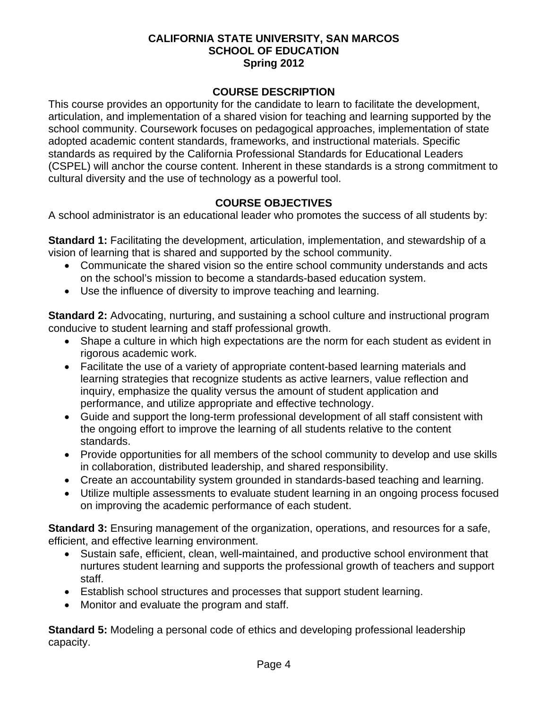## **COURSE DESCRIPTION**

This course provides an opportunity for the candidate to learn to facilitate the development, articulation, and implementation of a shared vision for teaching and learning supported by the school community. Coursework focuses on pedagogical approaches, implementation of state adopted academic content standards, frameworks, and instructional materials. Specific standards as required by the California Professional Standards for Educational Leaders (CSPEL) will anchor the course content. Inherent in these standards is a strong commitment to cultural diversity and the use of technology as a powerful tool.

## **COURSE OBJECTIVES**

A school administrator is an educational leader who promotes the success of all students by:

**Standard 1:** Facilitating the development, articulation, implementation, and stewardship of a vision of learning that is shared and supported by the school community.

- Communicate the shared vision so the entire school community understands and acts on the school's mission to become a standards-based education system.
- Use the influence of diversity to improve teaching and learning.

**Standard 2:** Advocating, nurturing, and sustaining a school culture and instructional program conducive to student learning and staff professional growth.

- Shape a culture in which high expectations are the norm for each student as evident in rigorous academic work.
- Facilitate the use of a variety of appropriate content-based learning materials and learning strategies that recognize students as active learners, value reflection and inquiry, emphasize the quality versus the amount of student application and performance, and utilize appropriate and effective technology.
- Guide and support the long-term professional development of all staff consistent with the ongoing effort to improve the learning of all students relative to the content standards.
- Provide opportunities for all members of the school community to develop and use skills in collaboration, distributed leadership, and shared responsibility.
- Create an accountability system grounded in standards-based teaching and learning.
- Utilize multiple assessments to evaluate student learning in an ongoing process focused on improving the academic performance of each student.

**Standard 3:** Ensuring management of the organization, operations, and resources for a safe, efficient, and effective learning environment.

- Sustain safe, efficient, clean, well-maintained, and productive school environment that nurtures student learning and supports the professional growth of teachers and support staff.
- Establish school structures and processes that support student learning.
- Monitor and evaluate the program and staff.

**Standard 5:** Modeling a personal code of ethics and developing professional leadership capacity.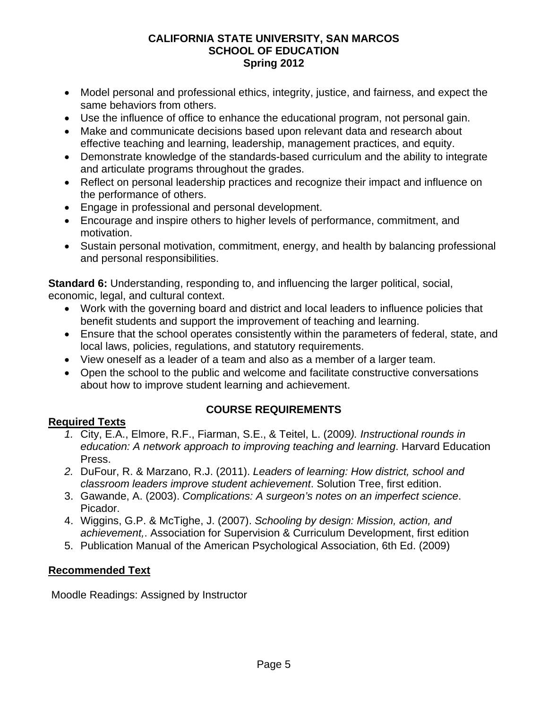- Model personal and professional ethics, integrity, justice, and fairness, and expect the same behaviors from others.
- Use the influence of office to enhance the educational program, not personal gain.
- Make and communicate decisions based upon relevant data and research about effective teaching and learning, leadership, management practices, and equity.
- Demonstrate knowledge of the standards-based curriculum and the ability to integrate and articulate programs throughout the grades.
- Reflect on personal leadership practices and recognize their impact and influence on the performance of others.
- Engage in professional and personal development.
- Encourage and inspire others to higher levels of performance, commitment, and motivation.
- Sustain personal motivation, commitment, energy, and health by balancing professional and personal responsibilities.

**Standard 6:** Understanding, responding to, and influencing the larger political, social, economic, legal, and cultural context.

- Work with the governing board and district and local leaders to influence policies that benefit students and support the improvement of teaching and learning.
- Ensure that the school operates consistently within the parameters of federal, state, and local laws, policies, regulations, and statutory requirements.
- View oneself as a leader of a team and also as a member of a larger team.
- Open the school to the public and welcome and facilitate constructive conversations about how to improve student learning and achievement.

# **Required Texts**

# **COURSE REQUIREMENTS**

- *1.* City, E.A., Elmore, R.F., Fiarman, S.E., & Teitel, L. (2009*). Instructional rounds in education: A network approach to improving teaching and learning*. Harvard Education Press.
- *2.* DuFour, R. & Marzano, R.J. (2011). *Leaders of learning: How district, school and classroom leaders improve student achievement*. Solution Tree, first edition.
- 3. Gawande, A. (2003). *Complications: A surgeon's notes on an imperfect science*. Picador.
- 4. Wiggins, G.P. & McTighe, J. (2007). *Schooling by design: Mission, action, and achievement,*. Association for Supervision & Curriculum Development, first edition
- 5. Publication Manual of the American Psychological Association, 6th Ed. (2009)

# **Recommended Text**

Moodle Readings: Assigned by Instructor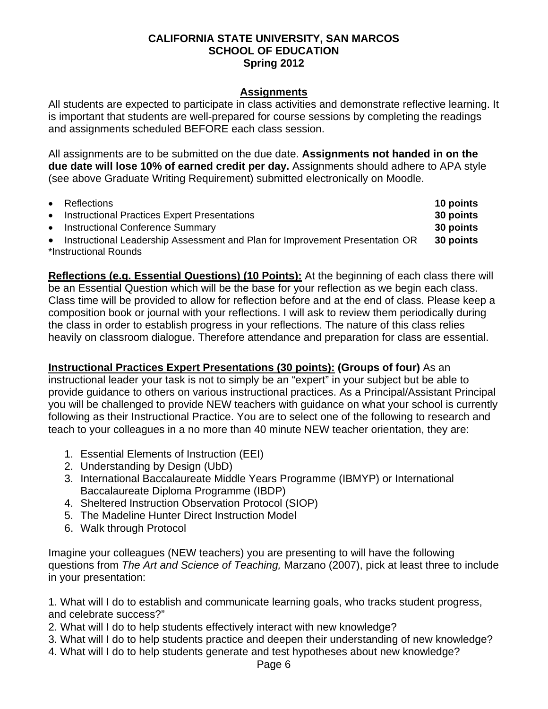#### **Assignments**

All students are expected to participate in class activities and demonstrate reflective learning. It is important that students are well-prepared for course sessions by completing the readings and assignments scheduled BEFORE each class session.

All assignments are to be submitted on the due date. **Assignments not handed in on the due date will lose 10% of earned credit per day.** Assignments should adhere to APA style (see above Graduate Writing Requirement) submitted electronically on Moodle.

|           | • Reflections                                                                  | 10 points |
|-----------|--------------------------------------------------------------------------------|-----------|
| $\bullet$ | <b>Instructional Practices Expert Presentations</b>                            | 30 points |
| $\bullet$ | <b>Instructional Conference Summary</b>                                        | 30 points |
|           | • Instructional Leadership Assessment and Plan for Improvement Presentation OR | 30 points |
|           | *Instructional Rounds                                                          |           |

**Reflections (e.g. Essential Questions) (10 Points):** At the beginning of each class there will be an Essential Question which will be the base for your reflection as we begin each class. Class time will be provided to allow for reflection before and at the end of class. Please keep a composition book or journal with your reflections. I will ask to review them periodically during the class in order to establish progress in your reflections. The nature of this class relies heavily on classroom dialogue. Therefore attendance and preparation for class are essential.

## **Instructional Practices Expert Presentations (30 points): (Groups of four)** As an

instructional leader your task is not to simply be an "expert" in your subject but be able to provide guidance to others on various instructional practices. As a Principal/Assistant Principal you will be challenged to provide NEW teachers with guidance on what your school is currently following as their Instructional Practice. You are to select one of the following to research and teach to your colleagues in a no more than 40 minute NEW teacher orientation, they are:

- 1. Essential Elements of Instruction (EEI)
- 2. Understanding by Design (UbD)
- 3. International Baccalaureate Middle Years Programme (IBMYP) or International Baccalaureate Diploma Programme (IBDP)
- 4. Sheltered Instruction Observation Protocol (SIOP)
- 5. The Madeline Hunter Direct Instruction Model
- 6. Walk through Protocol

Imagine your colleagues (NEW teachers) you are presenting to will have the following questions from *The Art and Science of Teaching,* Marzano (2007), pick at least three to include in your presentation:

1. What will I do to establish and communicate learning goals, who tracks student progress, and celebrate success?"

- 2. What will I do to help students effectively interact with new knowledge?
- 3. What will I do to help students practice and deepen their understanding of new knowledge?
- 4. What will I do to help students generate and test hypotheses about new knowledge?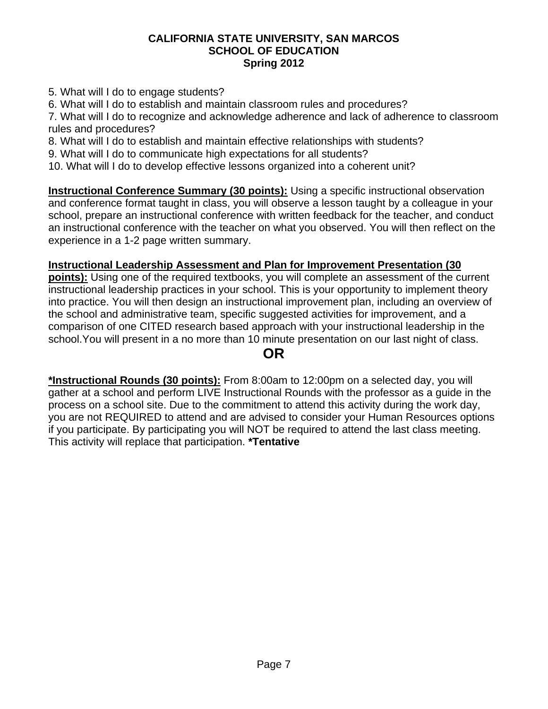- 5. What will I do to engage students?
- 6. What will I do to establish and maintain classroom rules and procedures?

7. What will I do to recognize and acknowledge adherence and lack of adherence to classroom rules and procedures?

- 8. What will I do to establish and maintain effective relationships with students?
- 9. What will I do to communicate high expectations for all students?
- 10. What will I do to develop effective lessons organized into a coherent unit?

**Instructional Conference Summary (30 points):** Using a specific instructional observation and conference format taught in class, you will observe a lesson taught by a colleague in your school, prepare an instructional conference with written feedback for the teacher, and conduct an instructional conference with the teacher on what you observed. You will then reflect on the experience in a 1-2 page written summary.

# **Instructional Leadership Assessment and Plan for Improvement Presentation (30**

**points):** Using one of the required textbooks, you will complete an assessment of the current instructional leadership practices in your school. This is your opportunity to implement theory into practice. You will then design an instructional improvement plan, including an overview of the school and administrative team, specific suggested activities for improvement, and a comparison of one CITED research based approach with your instructional leadership in the school.You will present in a no more than 10 minute presentation on our last night of class.

# **OR**

**\*Instructional Rounds (30 points):** From 8:00am to 12:00pm on a selected day, you will gather at a school and perform LIVE Instructional Rounds with the professor as a guide in the process on a school site. Due to the commitment to attend this activity during the work day, you are not REQUIRED to attend and are advised to consider your Human Resources options if you participate. By participating you will NOT be required to attend the last class meeting. This activity will replace that participation. **\*Tentative**